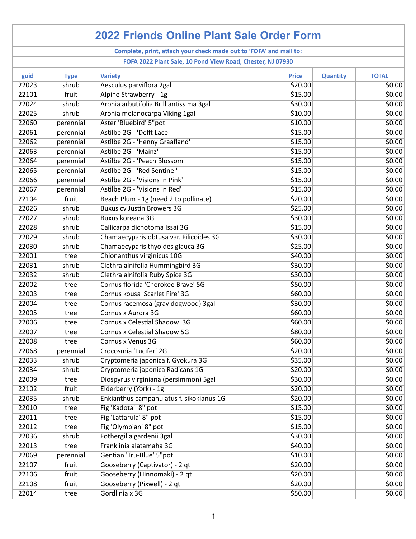| <b>2022 Friends Online Plant Sale Order Form</b>                   |             |                                          |              |                 |              |  |  |  |  |
|--------------------------------------------------------------------|-------------|------------------------------------------|--------------|-----------------|--------------|--|--|--|--|
| Complete, print, attach your check made out to 'FOFA' and mail to: |             |                                          |              |                 |              |  |  |  |  |
| FOFA 2022 Plant Sale, 10 Pond View Road, Chester, NJ 07930         |             |                                          |              |                 |              |  |  |  |  |
| guid                                                               | <b>Type</b> | <b>Variety</b>                           | <b>Price</b> | <b>Quantity</b> | <b>TOTAL</b> |  |  |  |  |
| 22023                                                              | shrub       | Aesculus parviflora 2gal                 | \$20.00      |                 | \$0.00       |  |  |  |  |
| 22101                                                              | fruit       | Alpine Strawberry - 1g                   | \$15.00      |                 | \$0.00       |  |  |  |  |
| 22024                                                              | shrub       | Aronia arbutifolia Brilliantissima 3gal  | \$30.00      |                 | \$0.00       |  |  |  |  |
| 22025                                                              | shrub       | Aronia melanocarpa Viking 1gal           | \$10.00      |                 | \$0.00       |  |  |  |  |
| 22060                                                              | perennial   | Aster 'Bluebird' 5"pot                   | \$10.00      |                 | \$0.00       |  |  |  |  |
| 22061                                                              | perennial   | Astilbe 2G - 'Delft Lace'                | \$15.00      |                 | \$0.00       |  |  |  |  |
| 22062                                                              | perennial   | Astilbe 2G - 'Henny Graafland'           | \$15.00      |                 | \$0.00       |  |  |  |  |
| 22063                                                              | perennial   | Astilbe 2G - 'Mainz'                     | \$15.00      |                 | \$0.00       |  |  |  |  |
| 22064                                                              | perennial   | Astilbe 2G - 'Peach Blossom'             | \$15.00      |                 | \$0.00       |  |  |  |  |
| 22065                                                              | perennial   | Astilbe 2G - 'Red Sentinel'              | \$15.00      |                 | \$0.00       |  |  |  |  |
| 22066                                                              | perennial   | Astilbe 2G - 'Visions in Pink'           | \$15.00      |                 | \$0.00       |  |  |  |  |
| 22067                                                              | perennial   | Astilbe 2G - 'Visions in Red'            | \$15.00      |                 | \$0.00       |  |  |  |  |
| 22104                                                              | fruit       | Beach Plum - 1g (need 2 to pollinate)    | \$20.00      |                 | \$0.00       |  |  |  |  |
| 22026                                                              | shrub       | <b>Buxus cv Justin Browers 3G</b>        | \$25.00      |                 | \$0.00       |  |  |  |  |
| 22027                                                              | shrub       | Buxus koreana 3G                         | \$30.00      |                 | \$0.00       |  |  |  |  |
| 22028                                                              | shrub       | Callicarpa dichotoma Issai 3G            | \$15.00      |                 | \$0.00       |  |  |  |  |
| 22029                                                              | shrub       | Chamaecyparis obtusa var. Filicoides 3G  | \$30.00      |                 | \$0.00       |  |  |  |  |
| 22030                                                              | shrub       | Chamaecyparis thyoides glauca 3G         | \$25.00      |                 | \$0.00       |  |  |  |  |
| 22001                                                              | tree        | Chionanthus virginicus 10G               | \$40.00      |                 | \$0.00       |  |  |  |  |
| 22031                                                              | shrub       | Clethra alnifolia Hummingbird 3G         | \$30.00      |                 | \$0.00       |  |  |  |  |
| 22032                                                              | shrub       | Clethra alnifolia Ruby Spice 3G          | \$30.00      |                 | \$0.00       |  |  |  |  |
| 22002                                                              | tree        | Cornus florida 'Cherokee Brave' 5G       | \$50.00      |                 | \$0.00       |  |  |  |  |
| 22003                                                              | tree        | Cornus kousa 'Scarlet Fire' 3G           | \$60.00      |                 | \$0.00       |  |  |  |  |
| 22004                                                              | tree        | Cornus racemosa (gray dogwood) 3gal      | \$30.00      |                 | \$0.00       |  |  |  |  |
| 22005                                                              | tree        | Cornus x Aurora 3G                       | \$60.00      |                 | \$0.00       |  |  |  |  |
| 22006                                                              | tree        | Cornus x Celestial Shadow 3G             | \$60.00      |                 | \$0.00       |  |  |  |  |
| 22007                                                              | tree        | <b>Cornus x Celestial Shadow 5G</b>      | \$80.00      |                 | \$0.00       |  |  |  |  |
| 22008                                                              | tree        | Cornus x Venus 3G                        | \$60.00      |                 | \$0.00       |  |  |  |  |
| 22068                                                              | perennial   | Crocosmia 'Lucifer' 2G                   | \$20.00      |                 | \$0.00       |  |  |  |  |
| 22033                                                              | shrub       | Cryptomeria japonica f. Gyokura 3G       | \$35.00      |                 | \$0.00       |  |  |  |  |
| 22034                                                              | shrub       | Cryptomeria japonica Radicans 1G         | \$20.00      |                 | \$0.00       |  |  |  |  |
| 22009                                                              | tree        | Diospyrus virginiana (persimmon) 5gal    | \$30.00      |                 | \$0.00       |  |  |  |  |
| 22102                                                              | fruit       | Elderberry (York) - 1g                   | \$20.00      |                 | \$0.00       |  |  |  |  |
| 22035                                                              | shrub       | Enkianthus campanulatus f. sikokianus 1G | \$20.00      |                 | \$0.00       |  |  |  |  |
| 22010                                                              | tree        | Fig 'Kadota' 8" pot                      | \$15.00      |                 | \$0.00       |  |  |  |  |
| 22011                                                              | tree        | Fig 'Lattarula' 8" pot                   | \$15.00      |                 | \$0.00       |  |  |  |  |
| 22012                                                              | tree        | Fig 'Olympian' 8" pot                    | \$15.00      |                 | \$0.00       |  |  |  |  |
| 22036                                                              | shrub       | Fothergilla gardenii 3gal                | \$30.00      |                 | \$0.00       |  |  |  |  |
| 22013                                                              | tree        | Franklinia alatamaha 3G                  | \$40.00      |                 | \$0.00       |  |  |  |  |
| 22069                                                              | perennial   | Gentian 'Tru-Blue' 5"pot                 | \$10.00      |                 | \$0.00       |  |  |  |  |
| 22107                                                              | fruit       | Gooseberry (Captivator) - 2 qt           | \$20.00      |                 | \$0.00       |  |  |  |  |
| 22106                                                              | fruit       | Gooseberry (Hinnomaki) - 2 qt            | \$20.00      |                 | \$0.00       |  |  |  |  |
| 22108                                                              | fruit       | Gooseberry (Pixwell) - 2 qt              | \$20.00      |                 | \$0.00       |  |  |  |  |
| 22014                                                              | tree        | Gordlinia x 3G                           | \$50.00      |                 | \$0.00       |  |  |  |  |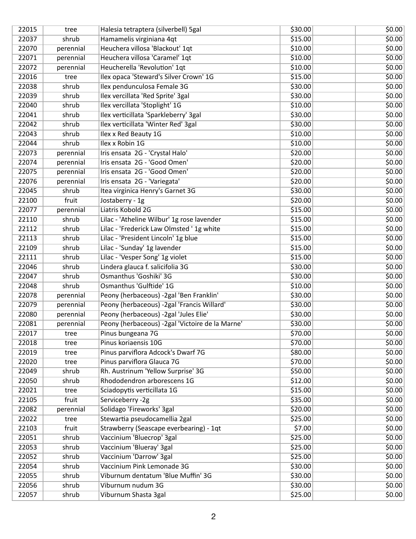| 22015 | tree      | Halesia tetraptera (silverbell) 5gal            | \$30.00 | \$0.00 |
|-------|-----------|-------------------------------------------------|---------|--------|
| 22037 | shrub     | Hamamelis virginiana 4qt                        | \$15.00 | \$0.00 |
| 22070 | perennial | Heuchera villosa 'Blackout' 1qt                 | \$10.00 | 50.00  |
| 22071 | perennial | Heuchera villosa 'Caramel' 1qt                  | \$10.00 | \$0.00 |
| 22072 | perennial | Heucherella 'Revolution' 1qt                    | \$10.00 | \$0.00 |
| 22016 | tree      | Ilex opaca 'Steward's Silver Crown' 1G          | \$15.00 | \$0.00 |
| 22038 | shrub     | Ilex pendunculosa Female 3G                     | \$30.00 | \$0.00 |
| 22039 | shrub     | Ilex vercillata 'Red Sprite' 3gal               | \$30.00 | \$0.00 |
| 22040 | shrub     | Ilex vercillata 'Stoplight' 1G                  | \$10.00 | \$0.00 |
| 22041 | shrub     | Ilex verticillata 'Sparkleberry' 3gal           | \$30.00 | \$0.00 |
| 22042 | shrub     | Ilex verticillata 'Winter Red' 3gal             | \$30.00 | \$0.00 |
| 22043 | shrub     | Ilex x Red Beauty 1G                            | \$10.00 | \$0.00 |
| 22044 | shrub     | Ilex x Robin 1G                                 | \$10.00 | \$0.00 |
| 22073 | perennial | Iris ensata 2G - 'Crystal Halo'                 | \$20.00 | \$0.00 |
| 22074 | perennial | Iris ensata 2G - 'Good Omen'                    | \$20.00 | \$0.00 |
| 22075 | perennial | Iris ensata 2G - 'Good Omen'                    | \$20.00 | \$0.00 |
| 22076 | perennial | Iris ensata 2G - 'Variegata'                    | \$20.00 | \$0.00 |
| 22045 | shrub     | Itea virginica Henry's Garnet 3G                | \$30.00 | \$0.00 |
| 22100 | fruit     | Jostaberry - 1g                                 | \$20.00 | \$0.00 |
| 22077 | perennial | Liatris Kobold 2G                               | \$15.00 | \$0.00 |
| 22110 | shrub     | Lilac - 'Atheline Wilbur' 1g rose lavender      | \$15.00 | \$0.00 |
| 22112 | shrub     | Lilac - 'Frederick Law Olmsted ' 1g white       | \$15.00 | \$0.00 |
| 22113 | shrub     | Lilac - 'President Lincoln' 1g blue             | \$15.00 | \$0.00 |
| 22109 | shrub     | Lilac - 'Sunday' 1g lavender                    | \$15.00 | \$0.00 |
| 22111 | shrub     | Lilac - 'Vesper Song' 1g violet                 | \$15.00 | \$0.00 |
| 22046 | shrub     | Lindera glauca f. salicifolia 3G                | \$30.00 | \$0.00 |
| 22047 | shrub     | Osmanthus 'Goshiki' 3G                          | \$30.00 | \$0.00 |
| 22048 | shrub     | Osmanthus 'Gulftide' 1G                         | \$10.00 | \$0.00 |
| 22078 | perennial | Peony (herbaceous) -2gal 'Ben Franklin'         | \$30.00 | \$0.00 |
| 22079 | perennial | Peony (herbaceous) -2gal 'Francis Willard'      | \$30.00 | \$0.00 |
| 22080 | perennial | Peony (herbaceous) -2gal 'Jules Elie'           | \$30.00 | \$0.00 |
| 22081 | perennial | Peony (herbaceous) -2gal 'Victoire de la Marne' | \$30.00 | \$0.00 |
| 22017 | tree      | Pinus bungeana 7G                               | \$70.00 | \$0.00 |
| 22018 | tree      | Pinus koriaensis 10G                            | \$70.00 | \$0.00 |
| 22019 | tree      | Pinus parviflora Adcock's Dwarf 7G              | \$80.00 | \$0.00 |
| 22020 | tree      | Pinus parviflora Glauca 7G                      | \$70.00 | \$0.00 |
| 22049 | shrub     | Rh. Austrinum 'Yellow Surprise' 3G              | \$50.00 | \$0.00 |
| 22050 | shrub     | Rhododendron arborescens 1G                     | \$12.00 | \$0.00 |
| 22021 | tree      | Sciadopytis verticillata 1G                     | \$15.00 | \$0.00 |
| 22105 | fruit     | Serviceberry -2g                                | \$35.00 | \$0.00 |
| 22082 | perennial | Solidago 'Fireworks' 3gal                       | \$20.00 | \$0.00 |
| 22022 | tree      | Stewartia pseudocamellia 2gal                   | \$25.00 | \$0.00 |
| 22103 | fruit     | Strawberry (Seascape everbearing) - 1qt         | \$7.00  | \$0.00 |
| 22051 | shrub     | Vaccinium 'Bluecrop' 3gal                       | \$25.00 | \$0.00 |
| 22053 | shrub     | Vaccinium 'Blueray' 3gal                        | \$25.00 | \$0.00 |
| 22052 | shrub     | Vaccinium 'Darrow' 3gal                         | \$25.00 | \$0.00 |
| 22054 | shrub     | Vaccinium Pink Lemonade 3G                      | \$30.00 | \$0.00 |
| 22055 | shrub     | Viburnum dentatum 'Blue Muffin' 3G              | \$30.00 | \$0.00 |
| 22056 | shrub     | Viburnum nudum 3G                               | \$30.00 | \$0.00 |
|       |           |                                                 | \$25.00 |        |
| 22057 | shrub     | Viburnum Shasta 3gal                            |         | \$0.00 |